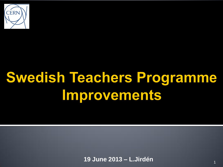

# **Swedish Teachers Programme** Improvements

**19 June 2013 – L.Jirdén** <sup>1</sup>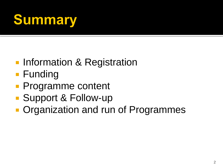## **Summary**

- **Information & Registration**
- **Funding**
- **Programme content**
- Support & Follow-up
- **Organization and run of Programmes**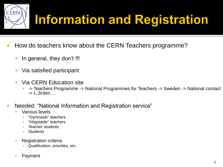

- How do teachers know about the CERN Teachers programme?
	- In general, they don't !!!
	- Via satisfied participant
	- Via CERN Education site
		- -> Teachers Programme -> National Programmes for Teachers -> Sweden -> National contact -> L.Jirden …
- Needed: "National Information and Registration service"
	- Various levels
		- "Gymnasie" teachers
		- "Högstadie" teachers
		- **Teacher students**
		- **Students**
	- **Registration criteria** 
		- Qualification, priorities, etc.
	- Payment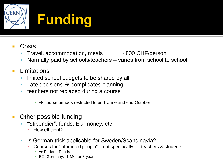

- Costs
	- Travel, accommodation, meals  $\sim 800$  CHF/person
- - Normally paid by schools/teachers varies from school to school
- **Limitations** 
	- limited school budgets to be shared by all
	- Late decisions  $\rightarrow$  complicates planning
	- **teachers not replaced during a course** 
		- $\rightarrow$  course periods restricted to end June and end October
- Other possible funding
	- "Stipendier", fonds, EU-money, etc.
		- **·** How efficient?
	- **IS German trick applicable for Sweden/Scandinavia?** 
		- Courses for "interested people" not specifically for teachers & students
			- $\rightarrow$  Federal Funds
			- EX. Germany: 1 M€ for 3 years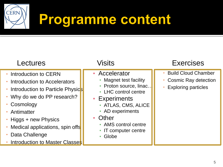

| Lectures                                                                                                                                                                                                                                                                       | Visits                                                                                                                                                                                                                                         | <b>Exercises</b>                                                                        |
|--------------------------------------------------------------------------------------------------------------------------------------------------------------------------------------------------------------------------------------------------------------------------------|------------------------------------------------------------------------------------------------------------------------------------------------------------------------------------------------------------------------------------------------|-----------------------------------------------------------------------------------------|
| • Introduction to CERN<br>• Introduction to Accelerators<br>• Introduction to Particle Physics<br>• Why do we do PP research?<br>• Cosmology<br>• Antimatter<br>• Higgs + new Physics<br>• Medical applications, spin offs<br>Data Challenge<br>Introduction to Master Classes | • Accelerator<br>• Magnet test facility<br>• Proton source, linac<br>• LHC control centre<br>• Experiments<br>- ATLAS, CMS, ALICE<br>• AD experiments<br><b>Other</b><br>$\Box$<br>• AMS control centre<br>• IT computer centre<br>Globe<br>a. | <b>Build Cloud Chamber</b><br><b>Cosmic Ray detection</b><br><b>Exploring particles</b> |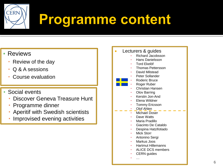

- Reviews
	- Review of the day
	- Q & A sessions
	- Course evaluation
- Social events
	- Discover Geneva Treasure Hunt
	- Programme dinner
	- Aperitif with Swedish scientists
	- Improvised evening activities

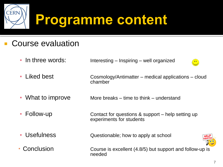

#### Course evaluation

**- In three words:** Interesting – Inspiring – well organized



- What to improve More breaks time to think understand
- **Follow-up Contact for questions & support** help setting up experiments for students
- Usefulness Questionable; how to apply at school



 $14<sub>1</sub>$ 

• Conclusion Course is excellent (4.8/5) but support and follow-up is needed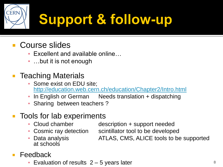

### **Course slides**

- Excellent and available online...
- **...but it is not enough**
- Teaching Materials
	- **BEAD Some exist on EDU site;** <http://education.web.cern.ch/education/Chapter2/Intro.html>
	- **In English or German** Needs translation + dispatching
	- **E** Sharing between teachers?

#### Tools for lab experiments

- 
- 
- at schools

▪ Cloud chamber description + support needed

- Cosmic ray detection scintillator tool to be developed
- 
- **Data analysis ATLAS, CMS, ALICE tools to be supported**
- Feedback
	- **Evaluation of results**  $2 5$  **years later**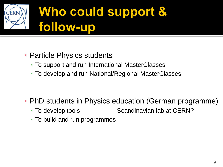

- **Particle Physics students** 
	- To support and run International MasterClasses
	- To develop and run National/Regional MasterClasses

- PhD students in Physics education (German programme)
	- To develop tools Scandinavian lab at CERN?
	- To build and run programmes